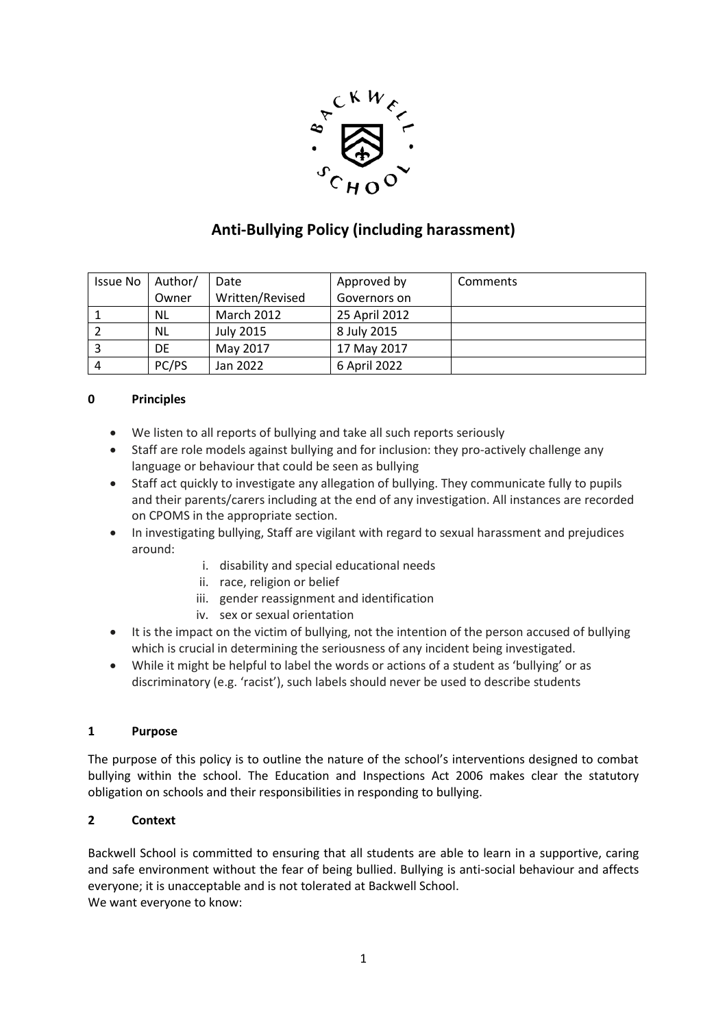

# **Anti-Bullying Policy (including harassment)**

| Issue No | Author/   | Date              | Approved by   | Comments |
|----------|-----------|-------------------|---------------|----------|
|          | Owner     | Written/Revised   | Governors on  |          |
|          | <b>NL</b> | <b>March 2012</b> | 25 April 2012 |          |
|          | <b>NL</b> | <b>July 2015</b>  | 8 July 2015   |          |
|          | DE        | May 2017          | 17 May 2017   |          |
| 4        | PC/PS     | Jan 2022          | 6 April 2022  |          |

## **0 Principles**

- We listen to all reports of bullying and take all such reports seriously
- Staff are role models against bullying and for inclusion: they pro-actively challenge any language or behaviour that could be seen as bullying
- Staff act quickly to investigate any allegation of bullying. They communicate fully to pupils and their parents/carers including at the end of any investigation. All instances are recorded on CPOMS in the appropriate section.
- In investigating bullying, Staff are vigilant with regard to sexual harassment and prejudices around:
	- i. disability and special educational needs
	- ii. race, religion or belief
	- iii. gender reassignment and identification
	- iv. sex or sexual orientation
- It is the impact on the victim of bullying, not the intention of the person accused of bullying which is crucial in determining the seriousness of any incident being investigated.
- While it might be helpful to label the words or actions of a student as 'bullying' or as discriminatory (e.g. 'racist'), such labels should never be used to describe students

## **1 Purpose**

The purpose of this policy is to outline the nature of the school's interventions designed to combat bullying within the school. The Education and Inspections Act 2006 makes clear the statutory obligation on schools and their responsibilities in responding to bullying.

## **2 Context**

Backwell School is committed to ensuring that all students are able to learn in a supportive, caring and safe environment without the fear of being bullied. Bullying is anti-social behaviour and affects everyone; it is unacceptable and is not tolerated at Backwell School. We want everyone to know: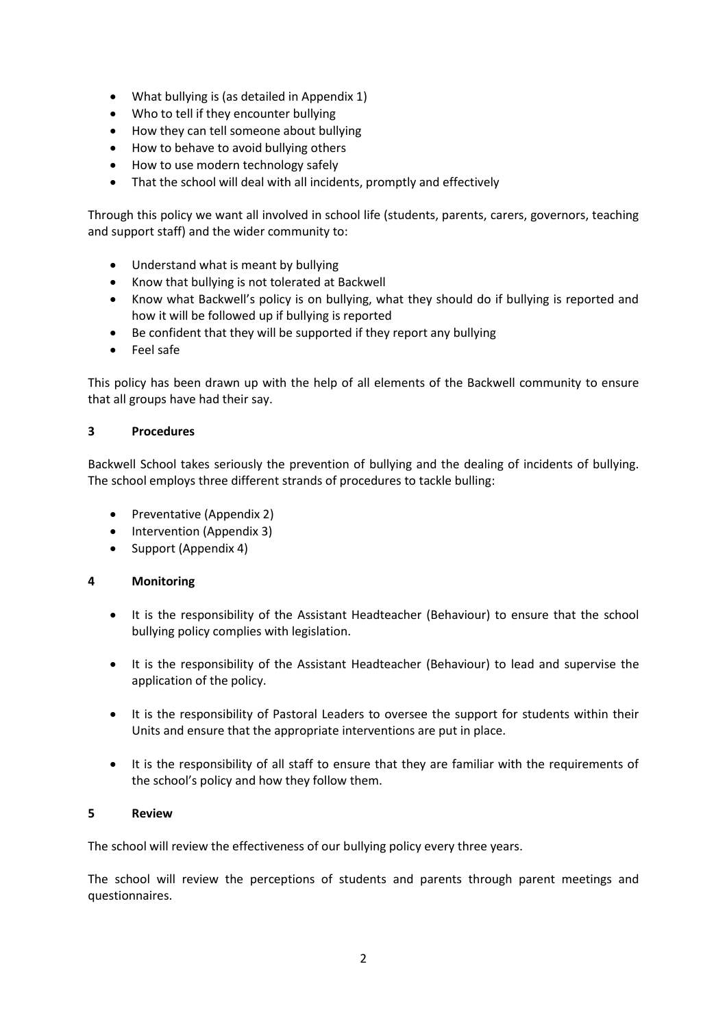- What bullying is (as detailed in Appendix 1)
- Who to tell if they encounter bullying
- How they can tell someone about bullying
- How to behave to avoid bullying others
- How to use modern technology safely
- That the school will deal with all incidents, promptly and effectively

Through this policy we want all involved in school life (students, parents, carers, governors, teaching and support staff) and the wider community to:

- Understand what is meant by bullying
- Know that bullying is not tolerated at Backwell
- Know what Backwell's policy is on bullying, what they should do if bullying is reported and how it will be followed up if bullying is reported
- Be confident that they will be supported if they report any bullying
- Feel safe

This policy has been drawn up with the help of all elements of the Backwell community to ensure that all groups have had their say.

#### **3 Procedures**

Backwell School takes seriously the prevention of bullying and the dealing of incidents of bullying. The school employs three different strands of procedures to tackle bulling:

- Preventative (Appendix 2)
- Intervention (Appendix 3)
- Support (Appendix 4)

## **4 Monitoring**

- It is the responsibility of the Assistant Headteacher (Behaviour) to ensure that the school bullying policy complies with legislation.
- It is the responsibility of the Assistant Headteacher (Behaviour) to lead and supervise the application of the policy.
- It is the responsibility of Pastoral Leaders to oversee the support for students within their Units and ensure that the appropriate interventions are put in place.
- It is the responsibility of all staff to ensure that they are familiar with the requirements of the school's policy and how they follow them.

#### **5 Review**

The school will review the effectiveness of our bullying policy every three years.

The school will review the perceptions of students and parents through parent meetings and questionnaires.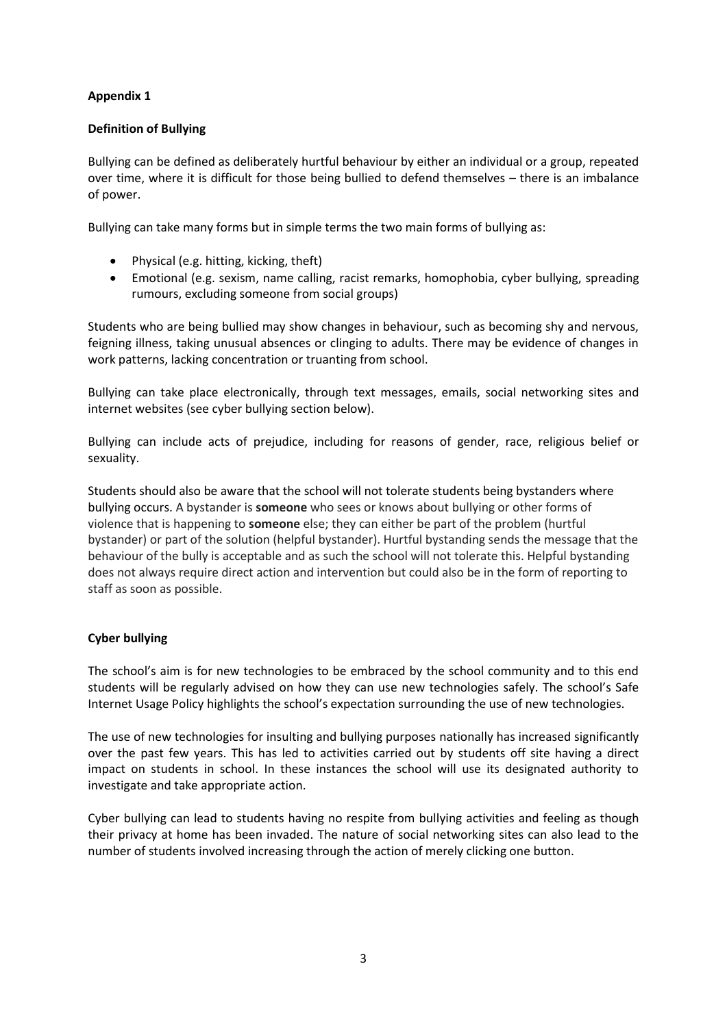## **Definition of Bullying**

Bullying can be defined as deliberately hurtful behaviour by either an individual or a group, repeated over time, where it is difficult for those being bullied to defend themselves – there is an imbalance of power.

Bullying can take many forms but in simple terms the two main forms of bullying as:

- Physical (e.g. hitting, kicking, theft)
- Emotional (e.g. sexism, name calling, racist remarks, homophobia, cyber bullying, spreading rumours, excluding someone from social groups)

Students who are being bullied may show changes in behaviour, such as becoming shy and nervous, feigning illness, taking unusual absences or clinging to adults. There may be evidence of changes in work patterns, lacking concentration or truanting from school.

Bullying can take place electronically, through text messages, emails, social networking sites and internet websites (see cyber bullying section below).

Bullying can include acts of prejudice, including for reasons of gender, race, religious belief or sexuality.

Students should also be aware that the school will not tolerate students being bystanders where bullying occurs. A bystander is **someone** who sees or knows about bullying or other forms of violence that is happening to **someone** else; they can either be part of the problem (hurtful bystander) or part of the solution (helpful bystander). Hurtful bystanding sends the message that the behaviour of the bully is acceptable and as such the school will not tolerate this. Helpful bystanding does not always require direct action and intervention but could also be in the form of reporting to staff as soon as possible.

## **Cyber bullying**

The school's aim is for new technologies to be embraced by the school community and to this end students will be regularly advised on how they can use new technologies safely. The school's Safe Internet Usage Policy highlights the school's expectation surrounding the use of new technologies.

The use of new technologies for insulting and bullying purposes nationally has increased significantly over the past few years. This has led to activities carried out by students off site having a direct impact on students in school. In these instances the school will use its designated authority to investigate and take appropriate action.

Cyber bullying can lead to students having no respite from bullying activities and feeling as though their privacy at home has been invaded. The nature of social networking sites can also lead to the number of students involved increasing through the action of merely clicking one button.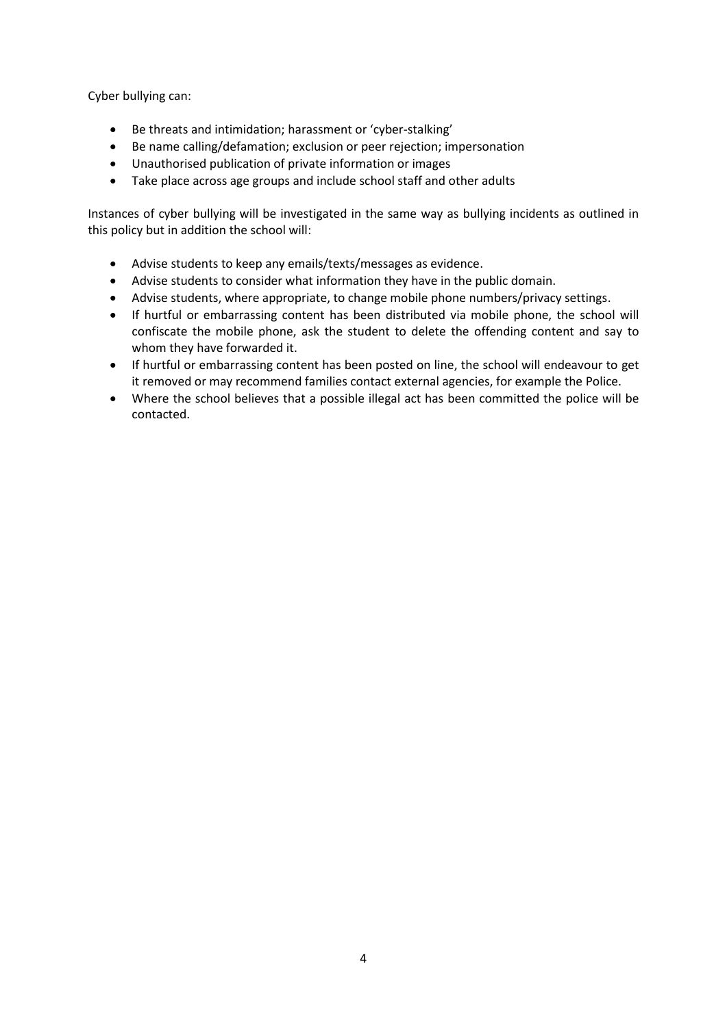Cyber bullying can:

- Be threats and intimidation; harassment or 'cyber-stalking'
- Be name calling/defamation; exclusion or peer rejection; impersonation
- Unauthorised publication of private information or images
- Take place across age groups and include school staff and other adults

Instances of cyber bullying will be investigated in the same way as bullying incidents as outlined in this policy but in addition the school will:

- Advise students to keep any emails/texts/messages as evidence.
- Advise students to consider what information they have in the public domain.
- Advise students, where appropriate, to change mobile phone numbers/privacy settings.
- If hurtful or embarrassing content has been distributed via mobile phone, the school will confiscate the mobile phone, ask the student to delete the offending content and say to whom they have forwarded it.
- If hurtful or embarrassing content has been posted on line, the school will endeavour to get it removed or may recommend families contact external agencies, for example the Police.
- Where the school believes that a possible illegal act has been committed the police will be contacted.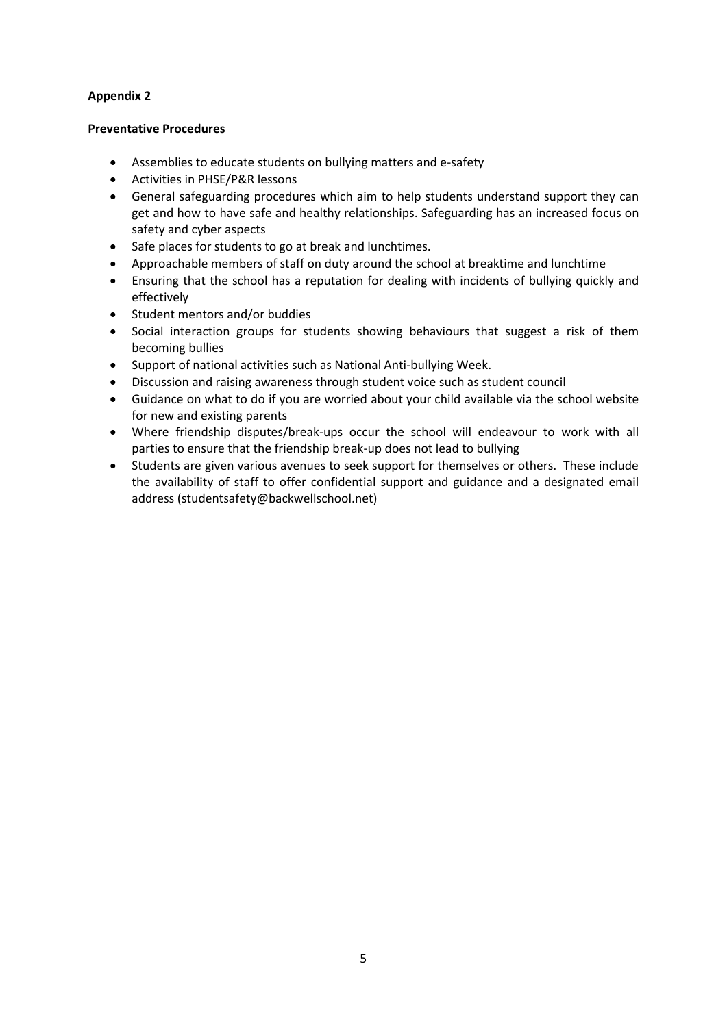#### **Preventative Procedures**

- Assemblies to educate students on bullying matters and e-safety
- Activities in PHSE/P&R lessons
- General safeguarding procedures which aim to help students understand support they can get and how to have safe and healthy relationships. Safeguarding has an increased focus on safety and cyber aspects
- Safe places for students to go at break and lunchtimes.
- Approachable members of staff on duty around the school at breaktime and lunchtime
- Ensuring that the school has a reputation for dealing with incidents of bullying quickly and effectively
- Student mentors and/or buddies
- Social interaction groups for students showing behaviours that suggest a risk of them becoming bullies
- Support of national activities such as National Anti-bullying Week.
- Discussion and raising awareness through student voice such as student council
- Guidance on what to do if you are worried about your child available via the school website for new and existing parents
- Where friendship disputes/break-ups occur the school will endeavour to work with all parties to ensure that the friendship break-up does not lead to bullying
- Students are given various avenues to seek support for themselves or others. These include the availability of staff to offer confidential support and guidance and a designated email address (studentsafety@backwellschool.net)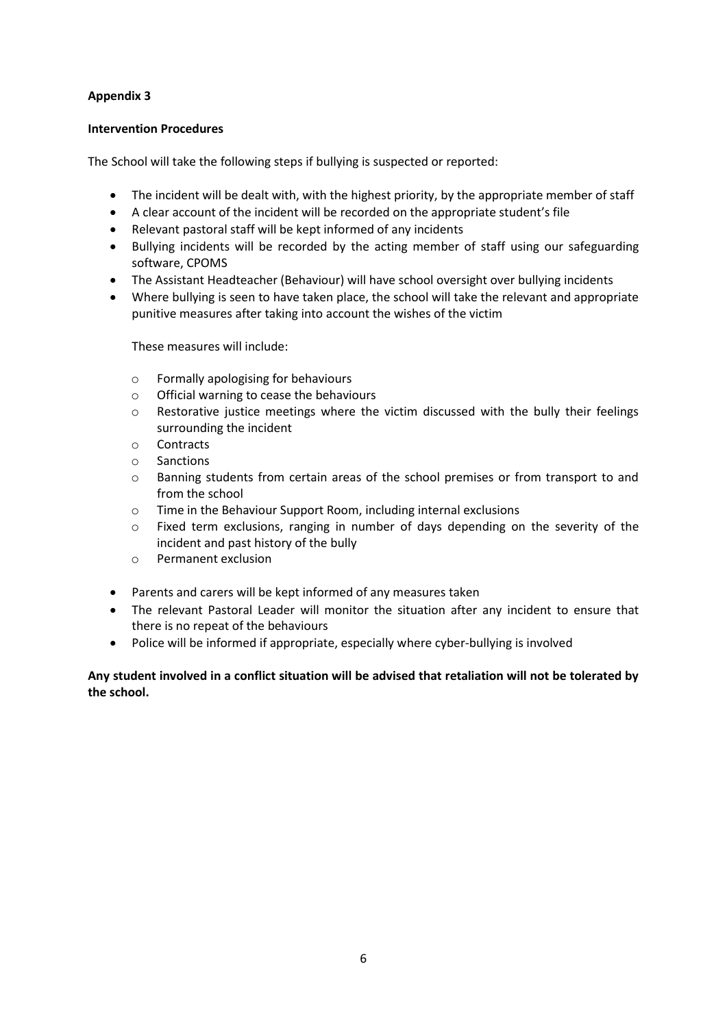#### **Intervention Procedures**

The School will take the following steps if bullying is suspected or reported:

- The incident will be dealt with, with the highest priority, by the appropriate member of staff
- A clear account of the incident will be recorded on the appropriate student's file
- Relevant pastoral staff will be kept informed of any incidents
- Bullying incidents will be recorded by the acting member of staff using our safeguarding software, CPOMS
- The Assistant Headteacher (Behaviour) will have school oversight over bullying incidents
- Where bullying is seen to have taken place, the school will take the relevant and appropriate punitive measures after taking into account the wishes of the victim

These measures will include:

- o Formally apologising for behaviours
- o Official warning to cease the behaviours
- $\circ$  Restorative justice meetings where the victim discussed with the bully their feelings surrounding the incident
- o Contracts
- o Sanctions
- o Banning students from certain areas of the school premises or from transport to and from the school
- o Time in the Behaviour Support Room, including internal exclusions
- o Fixed term exclusions, ranging in number of days depending on the severity of the incident and past history of the bully
- o Permanent exclusion
- Parents and carers will be kept informed of any measures taken
- The relevant Pastoral Leader will monitor the situation after any incident to ensure that there is no repeat of the behaviours
- Police will be informed if appropriate, especially where cyber-bullying is involved

**Any student involved in a conflict situation will be advised that retaliation will not be tolerated by the school.**